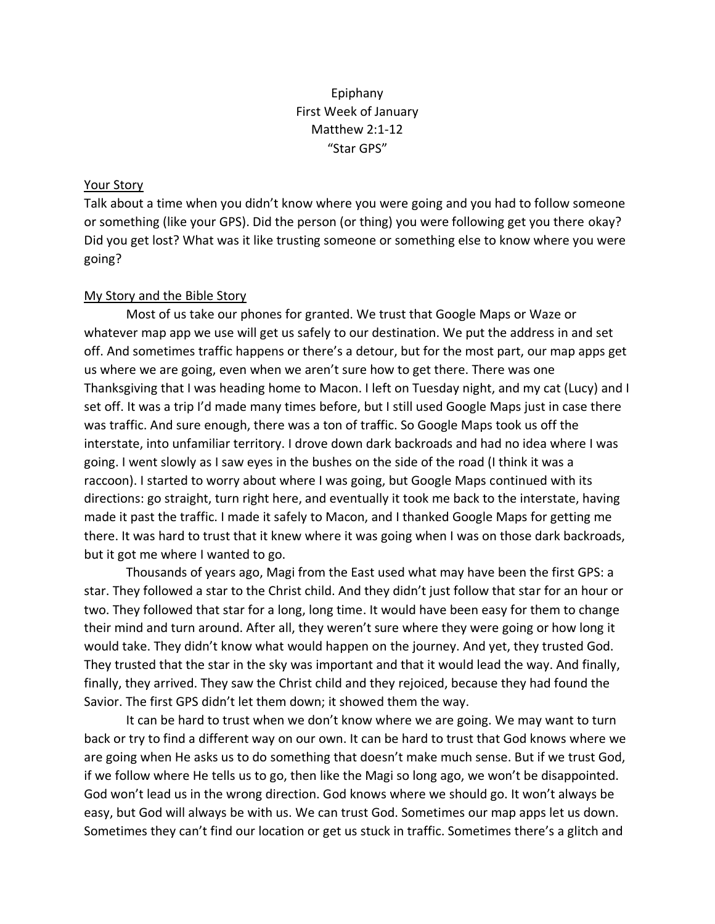## Epiphany First Week of January Matthew 2:1-12 "Star GPS"

## Your Story

Talk about a time when you didn't know where you were going and you had to follow someone or something (like your GPS). Did the person (or thing) you were following get you there okay? Did you get lost? What was it like trusting someone or something else to know where you were going?

## My Story and the Bible Story

Most of us take our phones for granted. We trust that Google Maps or Waze or whatever map app we use will get us safely to our destination. We put the address in and set off. And sometimes traffic happens or there's a detour, but for the most part, our map apps get us where we are going, even when we aren't sure how to get there. There was one Thanksgiving that I was heading home to Macon. I left on Tuesday night, and my cat (Lucy) and I set off. It was a trip I'd made many times before, but I still used Google Maps just in case there was traffic. And sure enough, there was a ton of traffic. So Google Maps took us off the interstate, into unfamiliar territory. I drove down dark backroads and had no idea where I was going. I went slowly as I saw eyes in the bushes on the side of the road (I think it was a raccoon). I started to worry about where I was going, but Google Maps continued with its directions: go straight, turn right here, and eventually it took me back to the interstate, having made it past the traffic. I made it safely to Macon, and I thanked Google Maps for getting me there. It was hard to trust that it knew where it was going when I was on those dark backroads, but it got me where I wanted to go.

Thousands of years ago, Magi from the East used what may have been the first GPS: a star. They followed a star to the Christ child. And they didn't just follow that star for an hour or two. They followed that star for a long, long time. It would have been easy for them to change their mind and turn around. After all, they weren't sure where they were going or how long it would take. They didn't know what would happen on the journey. And yet, they trusted God. They trusted that the star in the sky was important and that it would lead the way. And finally, finally, they arrived. They saw the Christ child and they rejoiced, because they had found the Savior. The first GPS didn't let them down; it showed them the way.

It can be hard to trust when we don't know where we are going. We may want to turn back or try to find a different way on our own. It can be hard to trust that God knows where we are going when He asks us to do something that doesn't make much sense. But if we trust God, if we follow where He tells us to go, then like the Magi so long ago, we won't be disappointed. God won't lead us in the wrong direction. God knows where we should go. It won't always be easy, but God will always be with us. We can trust God. Sometimes our map apps let us down. Sometimes they can't find our location or get us stuck in traffic. Sometimes there's a glitch and